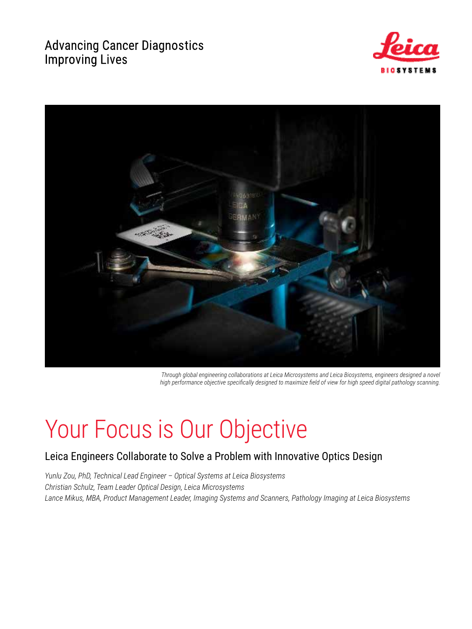## **Advancing Cancer Diagnostics Improving Lives**





*Through global engineering collaborations at Leica Microsystems and Leica Biosystems, engineers designed a novel high performance objective specifically designed to maximize field of view for high speed digital pathology scanning.* 

# Your Focus is Our Objective

## Leica Engineers Collaborate to Solve a Problem with Innovative Optics Design

*Yunlu Zou, PhD, Technical Lead Engineer – Optical Systems at Leica Biosystems Christian Schulz, Team Leader Optical Design, Leica Microsystems Lance Mikus, MBA, Product Management Leader, Imaging Systems and Scanners, Pathology Imaging at Leica Biosystems*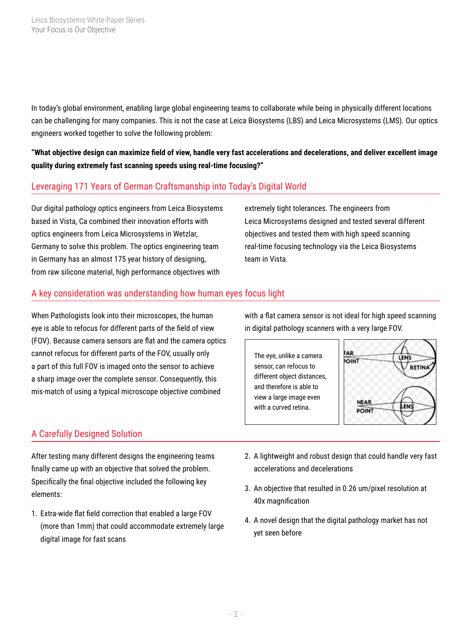In today's global environment, enabling large global engineering teams to collaborate while being in physically different locations can be challenging for many companies. This is not the case at Leica Biosystems (LBS) and Leica Microsystems (LMS). Our optics engineers worked together to solve the following problem:

**"What objective design can maximize field of view, handle very fast accelerations and decelerations, and deliver excellent image quality during extremely fast scanning speeds using real-time focusing?"**

#### Leveraging 171 Years of German Craftsmanship into Today's Digital World

Our digital pathology optics engineers from Leica Biosystems based in Vista, Ca combined their innovation efforts with optics engineers from Leica Microsystems in Wetzlar, Germany to solve this problem. The optics engineering team in Germany has an almost 175 year history of designing, from raw silicone material, high performance objectives with

extremely tight tolerances. The engineers from Leica Microsystems designed and tested several different objectives and tested them with high speed scanning real-time focusing technology via the Leica Biosystems team in Vista.

#### A key consideration was understanding how human eyes focus light

When Pathologists look into their microscopes, the human eye is able to refocus for different parts of the field of view (FOV). Because camera sensors are flat and the camera optics cannot refocus for different parts of the FOV, usually only a part of this full FOV is imaged onto the sensor to achieve a sharp image over the complete sensor. Consequently, this mis-match of using a typical microscope objective combined

### A Carefully Designed Solution

After testing many different designs the engineering teams finally came up with an objective that solved the problem. Specifically the final objective included the following key elements:

1. Extra-wide flat field correction that enabled a large FOV (more than 1mm) that could accommodate extremely large digital image for fast scans

with a flat camera sensor is not ideal for high speed scanning in digital pathology scanners with a very large FOV.





- 2. A lightweight and robust design that could handle very fast accelerations and decelerations
- 3. An objective that resulted in 0.26 um/pixel resolution at 40x magnification
- 4. A novel design that the digital pathology market has not yet seen before